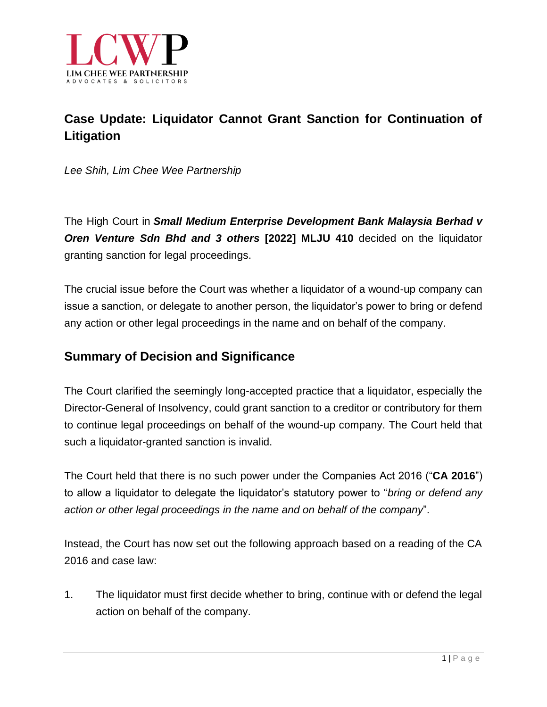

# **Case Update: Liquidator Cannot Grant Sanction for Continuation of Litigation**

*Lee Shih, Lim Chee Wee Partnership*

The High Court in *Small Medium Enterprise Development Bank Malaysia Berhad v Oren Venture Sdn Bhd and 3 others* **[2022] MLJU 410** decided on the liquidator granting sanction for legal proceedings.

The crucial issue before the Court was whether a liquidator of a wound-up company can issue a sanction, or delegate to another person, the liquidator's power to bring or defend any action or other legal proceedings in the name and on behalf of the company.

### **Summary of Decision and Significance**

The Court clarified the seemingly long-accepted practice that a liquidator, especially the Director-General of Insolvency, could grant sanction to a creditor or contributory for them to continue legal proceedings on behalf of the wound-up company. The Court held that such a liquidator-granted sanction is invalid.

The Court held that there is no such power under the Companies Act 2016 ("**CA 2016**") to allow a liquidator to delegate the liquidator's statutory power to "*bring or defend any action or other legal proceedings in the name and on behalf of the company*".

Instead, the Court has now set out the following approach based on a reading of the CA 2016 and case law:

1. The liquidator must first decide whether to bring, continue with or defend the legal action on behalf of the company.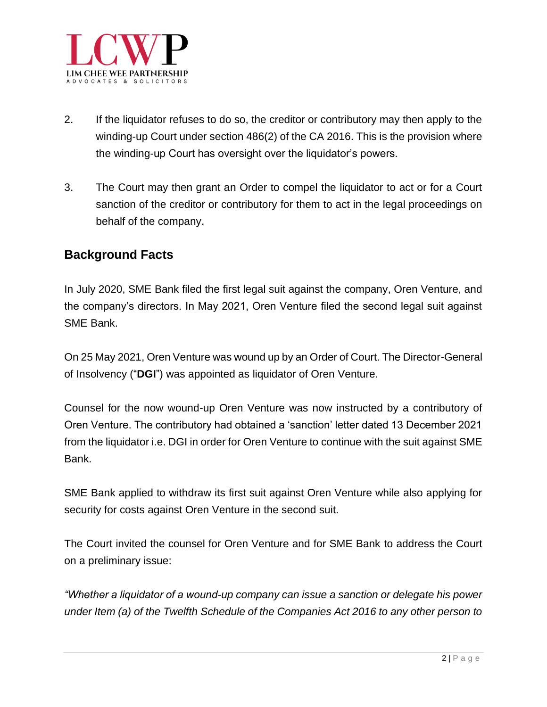

- 2. If the liquidator refuses to do so, the creditor or contributory may then apply to the winding-up Court under section 486(2) of the CA 2016. This is the provision where the winding-up Court has oversight over the liquidator's powers.
- 3. The Court may then grant an Order to compel the liquidator to act or for a Court sanction of the creditor or contributory for them to act in the legal proceedings on behalf of the company.

#### **Background Facts**

In July 2020, SME Bank filed the first legal suit against the company, Oren Venture, and the company's directors. In May 2021, Oren Venture filed the second legal suit against SME Bank.

On 25 May 2021, Oren Venture was wound up by an Order of Court. The Director-General of Insolvency ("**DGI**") was appointed as liquidator of Oren Venture.

Counsel for the now wound-up Oren Venture was now instructed by a contributory of Oren Venture. The contributory had obtained a 'sanction' letter dated 13 December 2021 from the liquidator i.e. DGI in order for Oren Venture to continue with the suit against SME Bank.

SME Bank applied to withdraw its first suit against Oren Venture while also applying for security for costs against Oren Venture in the second suit.

The Court invited the counsel for Oren Venture and for SME Bank to address the Court on a preliminary issue:

*"Whether a liquidator of a wound-up company can issue a sanction or delegate his power under Item (a) of the Twelfth Schedule of the Companies Act 2016 to any other person to*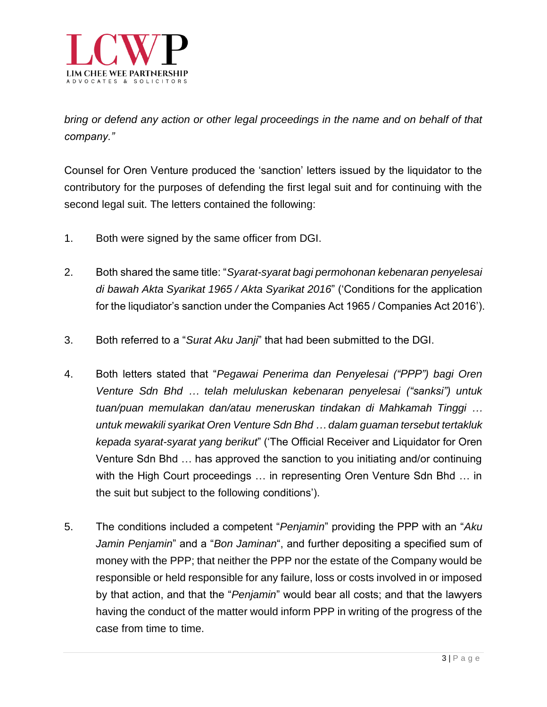

*bring or defend any action or other legal proceedings in the name and on behalf of that company."*

Counsel for Oren Venture produced the 'sanction' letters issued by the liquidator to the contributory for the purposes of defending the first legal suit and for continuing with the second legal suit. The letters contained the following:

- 1. Both were signed by the same officer from DGI.
- 2. Both shared the same title: "*Syarat-syarat bagi permohonan kebenaran penyelesai di bawah Akta Syarikat 1965 / Akta Syarikat 2016*" ('Conditions for the application for the liqudiator's sanction under the Companies Act 1965 / Companies Act 2016').
- 3. Both referred to a "*Surat Aku Janji*" that had been submitted to the DGI.
- 4. Both letters stated that "*Pegawai Penerima dan Penyelesai ("PPP") bagi Oren Venture Sdn Bhd … telah meluluskan kebenaran penyelesai ("sanksi") untuk tuan/puan memulakan dan/atau meneruskan tindakan di Mahkamah Tinggi … untuk mewakili syarikat Oren Venture Sdn Bhd … dalam guaman tersebut tertakluk kepada syarat-syarat yang berikut*" ('The Official Receiver and Liquidator for Oren Venture Sdn Bhd … has approved the sanction to you initiating and/or continuing with the High Court proceedings ... in representing Oren Venture Sdn Bhd ... in the suit but subject to the following conditions').
- 5. The conditions included a competent "*Penjamin*" providing the PPP with an "*Aku Jamin Penjamin*" and a "*Bon Jaminan*", and further depositing a specified sum of money with the PPP; that neither the PPP nor the estate of the Company would be responsible or held responsible for any failure, loss or costs involved in or imposed by that action, and that the "*Penjamin*" would bear all costs; and that the lawyers having the conduct of the matter would inform PPP in writing of the progress of the case from time to time.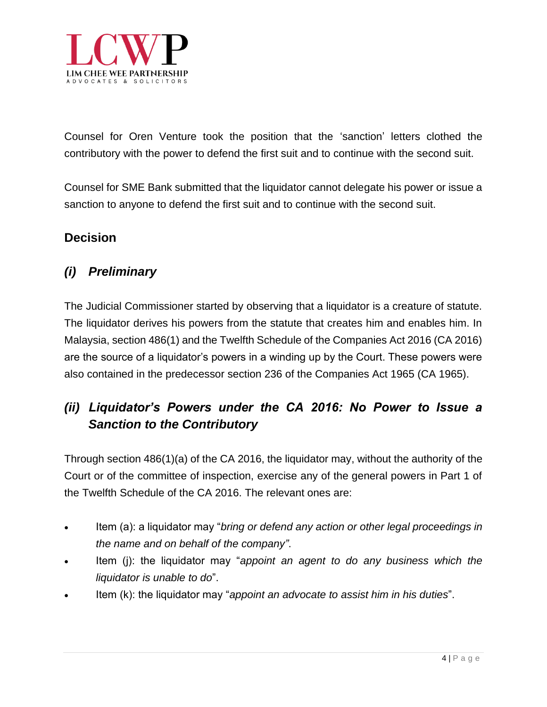

Counsel for Oren Venture took the position that the 'sanction' letters clothed the contributory with the power to defend the first suit and to continue with the second suit.

Counsel for SME Bank submitted that the liquidator cannot delegate his power or issue a sanction to anyone to defend the first suit and to continue with the second suit.

### **Decision**

## *(i) Preliminary*

The Judicial Commissioner started by observing that a liquidator is a creature of statute. The liquidator derives his powers from the statute that creates him and enables him. In Malaysia, section 486(1) and the Twelfth Schedule of the Companies Act 2016 (CA 2016) are the source of a liquidator's powers in a winding up by the Court. These powers were also contained in the predecessor section 236 of the Companies Act 1965 (CA 1965).

# *(ii) Liquidator's Powers under the CA 2016: No Power to Issue a Sanction to the Contributory*

Through section 486(1)(a) of the CA 2016, the liquidator may, without the authority of the Court or of the committee of inspection, exercise any of the general powers in Part 1 of the Twelfth Schedule of the CA 2016. The relevant ones are:

- Item (a): a liquidator may "*bring or defend any action or other legal proceedings in the name and on behalf of the company"*.
- Item (j): the liquidator may "*appoint an agent to do any business which the liquidator is unable to do*".
- Item (k): the liquidator may "*appoint an advocate to assist him in his duties*".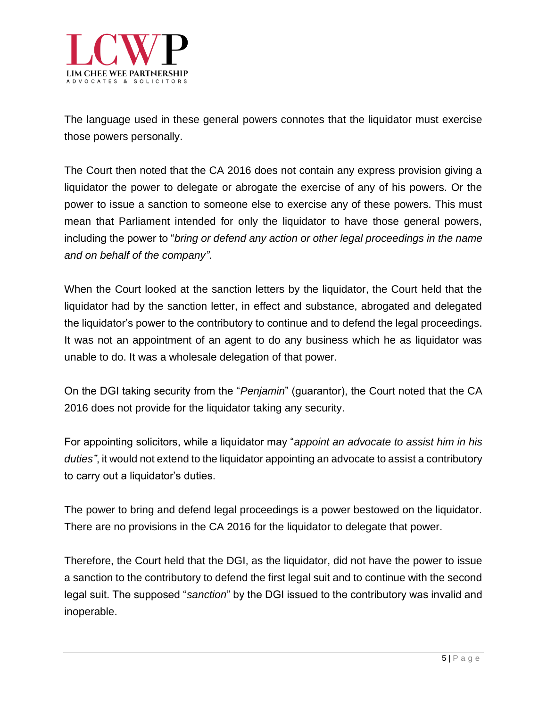

The language used in these general powers connotes that the liquidator must exercise those powers personally.

The Court then noted that the CA 2016 does not contain any express provision giving a liquidator the power to delegate or abrogate the exercise of any of his powers. Or the power to issue a sanction to someone else to exercise any of these powers. This must mean that Parliament intended for only the liquidator to have those general powers, including the power to "*bring or defend any action or other legal proceedings in the name and on behalf of the company"*.

When the Court looked at the sanction letters by the liquidator, the Court held that the liquidator had by the sanction letter, in effect and substance, abrogated and delegated the liquidator's power to the contributory to continue and to defend the legal proceedings. It was not an appointment of an agent to do any business which he as liquidator was unable to do. It was a wholesale delegation of that power.

On the DGI taking security from the "*Penjamin*" (guarantor), the Court noted that the CA 2016 does not provide for the liquidator taking any security.

For appointing solicitors, while a liquidator may "*appoint an advocate to assist him in his duties"*, it would not extend to the liquidator appointing an advocate to assist a contributory to carry out a liquidator's duties.

The power to bring and defend legal proceedings is a power bestowed on the liquidator. There are no provisions in the CA 2016 for the liquidator to delegate that power.

Therefore, the Court held that the DGI, as the liquidator, did not have the power to issue a sanction to the contributory to defend the first legal suit and to continue with the second legal suit. The supposed "*sanction*" by the DGI issued to the contributory was invalid and inoperable.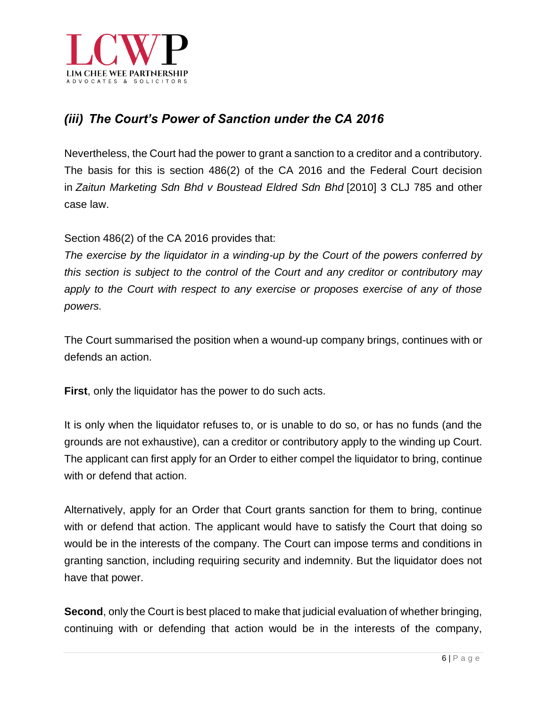

## *(iii) The Court's Power of Sanction under the CA 2016*

Nevertheless, the Court had the power to grant a sanction to a creditor and a contributory. The basis for this is section 486(2) of the CA 2016 and the Federal Court decision in *Zaitun Marketing Sdn Bhd v Boustead Eldred Sdn Bhd* [2010] 3 CLJ 785 and other case law.

Section 486(2) of the CA 2016 provides that:

*The exercise by the liquidator in a winding-up by the Court of the powers conferred by this section is subject to the control of the Court and any creditor or contributory may apply to the Court with respect to any exercise or proposes exercise of any of those powers.*

The Court summarised the position when a wound-up company brings, continues with or defends an action.

**First**, only the liquidator has the power to do such acts.

It is only when the liquidator refuses to, or is unable to do so, or has no funds (and the grounds are not exhaustive), can a creditor or contributory apply to the winding up Court. The applicant can first apply for an Order to either compel the liquidator to bring, continue with or defend that action.

Alternatively, apply for an Order that Court grants sanction for them to bring, continue with or defend that action. The applicant would have to satisfy the Court that doing so would be in the interests of the company. The Court can impose terms and conditions in granting sanction, including requiring security and indemnity. But the liquidator does not have that power.

**Second**, only the Court is best placed to make that judicial evaluation of whether bringing, continuing with or defending that action would be in the interests of the company,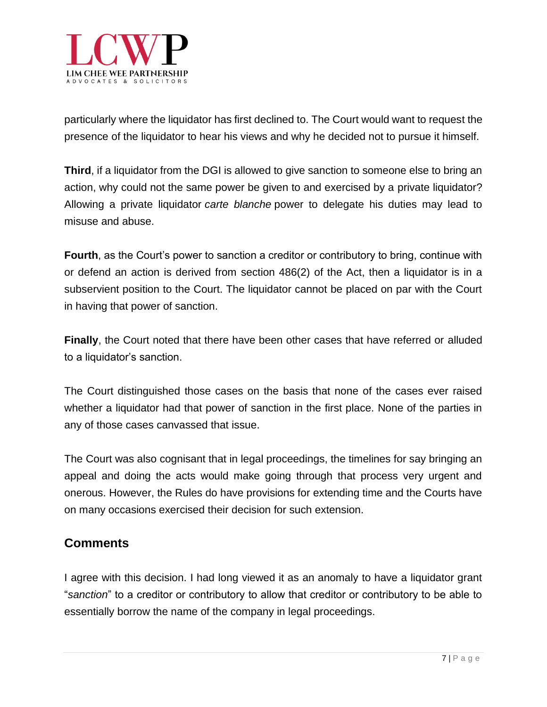

particularly where the liquidator has first declined to. The Court would want to request the presence of the liquidator to hear his views and why he decided not to pursue it himself.

**Third**, if a liquidator from the DGI is allowed to give sanction to someone else to bring an action, why could not the same power be given to and exercised by a private liquidator? Allowing a private liquidator *carte blanche* power to delegate his duties may lead to misuse and abuse.

**Fourth**, as the Court's power to sanction a creditor or contributory to bring, continue with or defend an action is derived from section 486(2) of the Act, then a liquidator is in a subservient position to the Court. The liquidator cannot be placed on par with the Court in having that power of sanction.

**Finally**, the Court noted that there have been other cases that have referred or alluded to a liquidator's sanction.

The Court distinguished those cases on the basis that none of the cases ever raised whether a liquidator had that power of sanction in the first place. None of the parties in any of those cases canvassed that issue.

The Court was also cognisant that in legal proceedings, the timelines for say bringing an appeal and doing the acts would make going through that process very urgent and onerous. However, the Rules do have provisions for extending time and the Courts have on many occasions exercised their decision for such extension.

### **Comments**

I agree with this decision. I had long viewed it as an anomaly to have a liquidator grant "*sanction*" to a creditor or contributory to allow that creditor or contributory to be able to essentially borrow the name of the company in legal proceedings.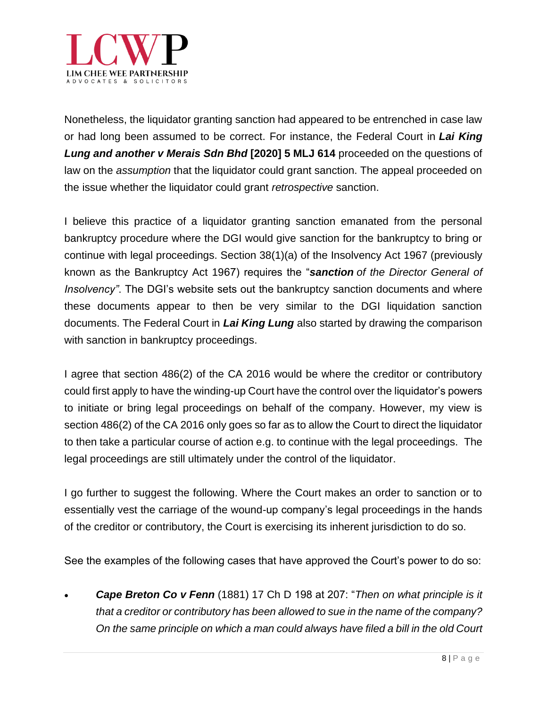

Nonetheless, the liquidator granting sanction had appeared to be entrenched in case law or had long been assumed to be correct. For instance, the Federal Court in *Lai King Lung and another v Merais Sdn Bhd* **[2020] 5 MLJ 614** proceeded on the questions of law on the *assumption* that the liquidator could grant sanction. The appeal proceeded on the issue whether the liquidator could grant *retrospective* sanction.

I believe this practice of a liquidator granting sanction emanated from the personal bankruptcy procedure where the DGI would give sanction for the bankruptcy to bring or continue with legal proceedings. Section 38(1)(a) of the Insolvency Act 1967 (previously known as the Bankruptcy Act 1967) requires the "*sanction of the Director General of Insolvency"*. The DGI's website sets out the [bankruptcy](https://www.mdi.gov.my/index.php/legislation/download-forms/sanction-application-bankruptcy) sanction documents and where these documents appear to then be very similar to the DGI liquidation sanction documents. The Federal Court in *Lai King Lung* also started by drawing the comparison with sanction in bankruptcy proceedings.

I agree that section 486(2) of the CA 2016 would be where the creditor or contributory could first apply to have the winding-up Court have the control over the liquidator's powers to initiate or bring legal proceedings on behalf of the company. However, my view is section 486(2) of the CA 2016 only goes so far as to allow the Court to direct the liquidator to then take a particular course of action e.g. to continue with the legal proceedings. The legal proceedings are still ultimately under the control of the liquidator.

I go further to suggest the following. Where the Court makes an order to sanction or to essentially vest the carriage of the wound-up company's legal proceedings in the hands of the creditor or contributory, the Court is exercising its inherent jurisdiction to do so.

See the examples of the following cases that have approved the Court's power to do so:

• *Cape Breton Co v Fenn* (1881) 17 Ch D 198 at 207: "*Then on what principle is it that a creditor or contributory has been allowed to sue in the name of the company? On the same principle on which a man could always have filed a bill in the old Court*